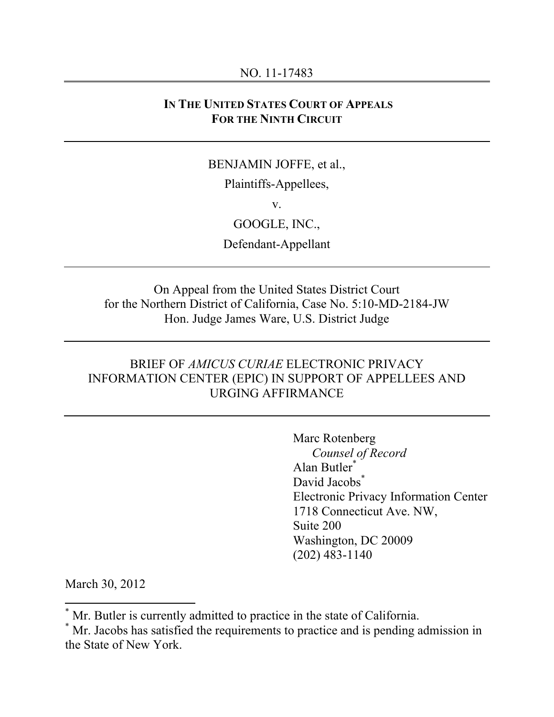#### NO. 11-17483

### **IN THE UNITED STATES COURT OF APPEALS FOR THE NINTH CIRCUIT**

### BENJAMIN JOFFE, et al.,

Plaintiffs-Appellees,

v.

GOOGLE, INC.,

Defendant-Appellant

On Appeal from the United States District Court for the Northern District of California, Case No. 5:10-MD-2184-JW Hon. Judge James Ware, U.S. District Judge

### BRIEF OF *AMICUS CURIAE* ELECTRONIC PRIVACY INFORMATION CENTER (EPIC) IN SUPPORT OF APPELLEES AND URGING AFFIRMANCE

Marc Rotenberg *Counsel of Record* Alan Butler\* David Jacobs<sup>\*</sup> Electronic Privacy Information Center 1718 Connecticut Ave. NW, Suite 200 Washington, DC 20009 (202) 483-1140

March 30, 2012

 $*$  Mr. Putler is eurrently a  $\sum_{i=1}^{n} Mr$ . Butler is currently admitted to practice in the state of California.

Mr. Jacobs has satisfied the requirements to practice and is pending admission in the State of New York.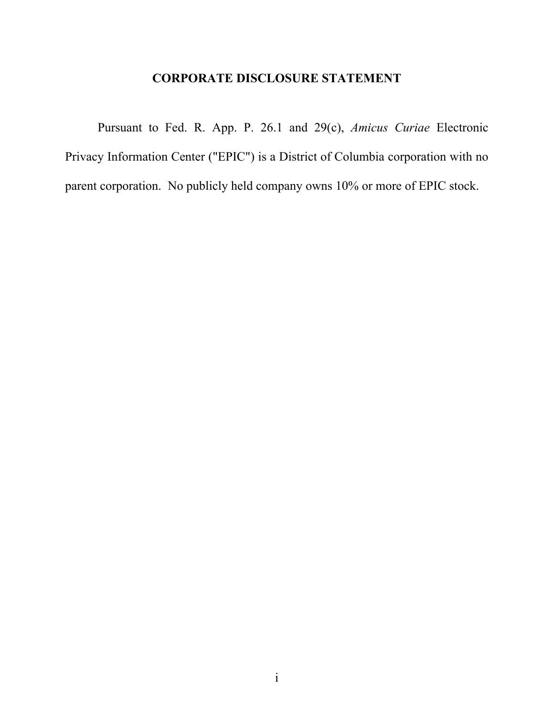# **CORPORATE DISCLOSURE STATEMENT**

Pursuant to Fed. R. App. P. 26.1 and 29(c), *Amicus Curiae* Electronic Privacy Information Center ("EPIC") is a District of Columbia corporation with no parent corporation. No publicly held company owns 10% or more of EPIC stock.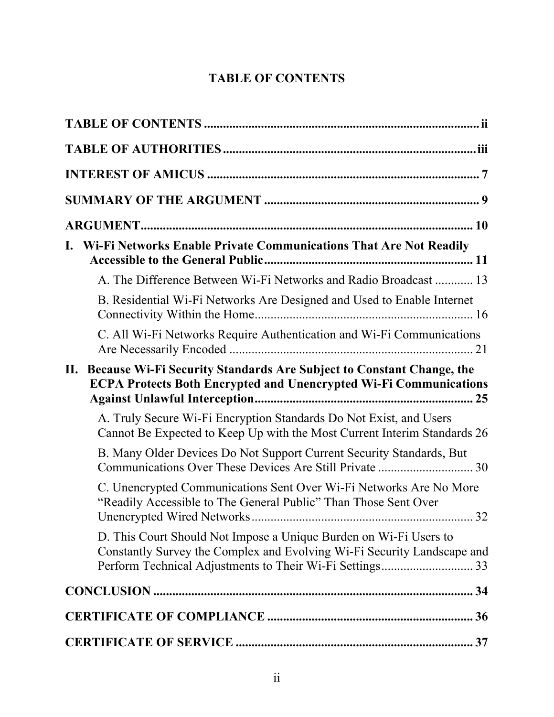# **TABLE OF CONTENTS**

|     | Wi-Fi Networks Enable Private Communications That Are Not Readily                                                                                |
|-----|--------------------------------------------------------------------------------------------------------------------------------------------------|
|     | A. The Difference Between Wi-Fi Networks and Radio Broadcast  13                                                                                 |
|     | B. Residential Wi-Fi Networks Are Designed and Used to Enable Internet                                                                           |
|     | C. All Wi-Fi Networks Require Authentication and Wi-Fi Communications                                                                            |
| II. | Because Wi-Fi Security Standards Are Subject to Constant Change, the<br><b>ECPA Protects Both Encrypted and Unencrypted Wi-Fi Communications</b> |
|     | A. Truly Secure Wi-Fi Encryption Standards Do Not Exist, and Users<br>Cannot Be Expected to Keep Up with the Most Current Interim Standards 26   |
|     | B. Many Older Devices Do Not Support Current Security Standards, But                                                                             |
|     | C. Unencrypted Communications Sent Over Wi-Fi Networks Are No More<br>"Readily Accessible to The General Public" Than Those Sent Over            |
|     | D. This Court Should Not Impose a Unique Burden on Wi-Fi Users to<br>Constantly Survey the Complex and Evolving Wi-Fi Security Landscape and     |
|     |                                                                                                                                                  |
|     |                                                                                                                                                  |
|     |                                                                                                                                                  |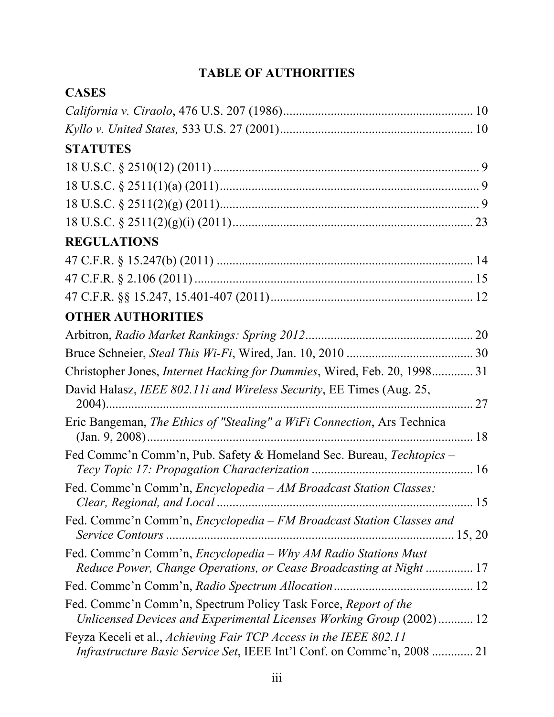# **TABLE OF AUTHORITIES**

| <b>CASES</b>                                                                                                                                 |  |
|----------------------------------------------------------------------------------------------------------------------------------------------|--|
|                                                                                                                                              |  |
|                                                                                                                                              |  |
| <b>STATUTES</b>                                                                                                                              |  |
|                                                                                                                                              |  |
|                                                                                                                                              |  |
|                                                                                                                                              |  |
|                                                                                                                                              |  |
| <b>REGULATIONS</b>                                                                                                                           |  |
|                                                                                                                                              |  |
|                                                                                                                                              |  |
|                                                                                                                                              |  |
| <b>OTHER AUTHORITIES</b>                                                                                                                     |  |
|                                                                                                                                              |  |
|                                                                                                                                              |  |
| Christopher Jones, Internet Hacking for Dummies, Wired, Feb. 20, 1998 31                                                                     |  |
| David Halasz, IEEE 802.11i and Wireless Security, EE Times (Aug. 25,                                                                         |  |
| Eric Bangeman, The Ethics of "Stealing" a WiFi Connection, Ars Technica                                                                      |  |
| Fed Comme'n Comm'n, Pub. Safety & Homeland Sec. Bureau, Techtopics -                                                                         |  |
| Fed. Comme'n Comm'n, Encyclopedia - AM Broadcast Station Classes;                                                                            |  |
| Fed. Commc'n Comm'n, Encyclopedia - FM Broadcast Station Classes and                                                                         |  |
| Fed. Commc'n Comm'n, Encyclopedia - Why AM Radio Stations Must<br>Reduce Power, Change Operations, or Cease Broadcasting at Night  17        |  |
|                                                                                                                                              |  |
| Fed. Comme'n Comm'n, Spectrum Policy Task Force, Report of the<br>Unlicensed Devices and Experimental Licenses Working Group (2002) 12       |  |
| Feyza Keceli et al., Achieving Fair TCP Access in the IEEE 802.11<br>Infrastructure Basic Service Set, IEEE Int'l Conf. on Commc'n, 2008  21 |  |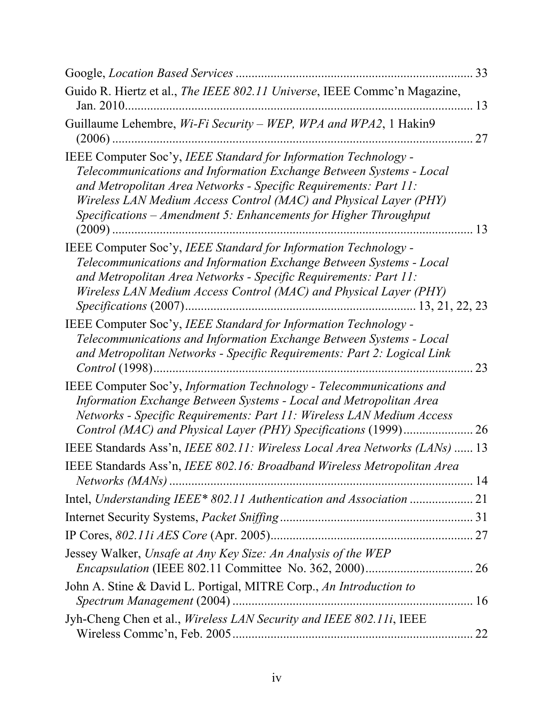|                                                                                                                                                                                                                                                                                                                                                     | 33 |
|-----------------------------------------------------------------------------------------------------------------------------------------------------------------------------------------------------------------------------------------------------------------------------------------------------------------------------------------------------|----|
| Guido R. Hiertz et al., The IEEE 802.11 Universe, IEEE Commc'n Magazine,                                                                                                                                                                                                                                                                            | 13 |
| Guillaume Lehembre, Wi-Fi Security - WEP, WPA and WPA2, 1 Hakin9                                                                                                                                                                                                                                                                                    | 27 |
| IEEE Computer Soc'y, IEEE Standard for Information Technology -<br>Telecommunications and Information Exchange Between Systems - Local<br>and Metropolitan Area Networks - Specific Requirements: Part 11:<br>Wireless LAN Medium Access Control (MAC) and Physical Layer (PHY)<br>Specifications – Amendment 5: Enhancements for Higher Throughput |    |
| IEEE Computer Soc'y, IEEE Standard for Information Technology -<br>Telecommunications and Information Exchange Between Systems - Local<br>and Metropolitan Area Networks - Specific Requirements: Part 11:<br>Wireless LAN Medium Access Control (MAC) and Physical Layer (PHY)                                                                     |    |
| IEEE Computer Soc'y, IEEE Standard for Information Technology -<br>Telecommunications and Information Exchange Between Systems - Local<br>and Metropolitan Networks - Specific Requirements: Part 2: Logical Link                                                                                                                                   | 23 |
| IEEE Computer Soc'y, Information Technology - Telecommunications and<br>Information Exchange Between Systems - Local and Metropolitan Area<br>Networks - Specific Requirements: Part 11: Wireless LAN Medium Access                                                                                                                                 |    |
| IEEE Standards Ass'n, IEEE 802.11: Wireless Local Area Networks (LANs)  13                                                                                                                                                                                                                                                                          |    |
| IEEE Standards Ass'n, IEEE 802.16: Broadband Wireless Metropolitan Area                                                                                                                                                                                                                                                                             |    |
| Intel, Understanding IEEE* 802.11 Authentication and Association  21                                                                                                                                                                                                                                                                                |    |
|                                                                                                                                                                                                                                                                                                                                                     |    |
|                                                                                                                                                                                                                                                                                                                                                     |    |
| Jessey Walker, Unsafe at Any Key Size: An Analysis of the WEP                                                                                                                                                                                                                                                                                       |    |
| John A. Stine & David L. Portigal, MITRE Corp., An Introduction to                                                                                                                                                                                                                                                                                  |    |
| Jyh-Cheng Chen et al., Wireless LAN Security and IEEE 802.11i, IEEE                                                                                                                                                                                                                                                                                 |    |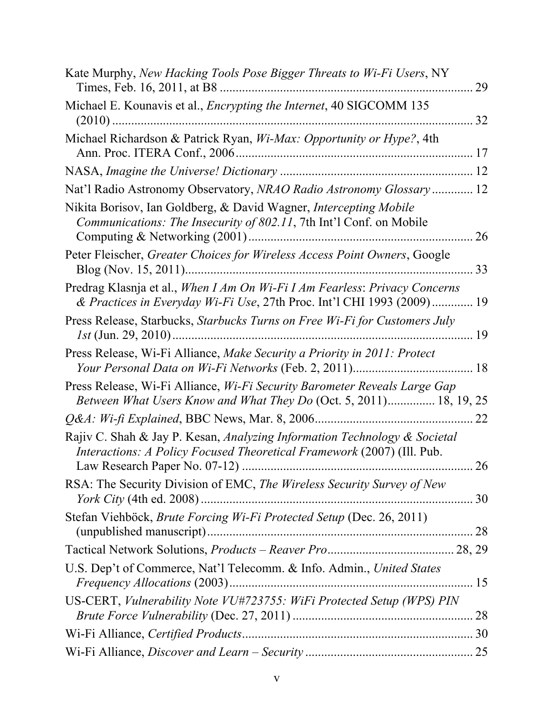| Kate Murphy, New Hacking Tools Pose Bigger Threats to Wi-Fi Users, NY                                                                                | 29 |
|------------------------------------------------------------------------------------------------------------------------------------------------------|----|
| Michael E. Kounavis et al., <i>Encrypting the Internet</i> , 40 SIGCOMM 135                                                                          | 32 |
| Michael Richardson & Patrick Ryan, <i>Wi-Max: Opportunity or Hype?</i> , 4th                                                                         |    |
|                                                                                                                                                      |    |
| Nat'l Radio Astronomy Observatory, NRAO Radio Astronomy Glossary  12                                                                                 |    |
| Nikita Borisov, Ian Goldberg, & David Wagner, Intercepting Mobile<br>Communications: The Insecurity of 802.11, 7th Int'l Conf. on Mobile             | 26 |
| Peter Fleischer, Greater Choices for Wireless Access Point Owners, Google                                                                            | 33 |
| Predrag Klasnja et al., When I Am On Wi-Fi I Am Fearless: Privacy Concerns<br>& Practices in Everyday Wi-Fi Use, 27th Proc. Int'l CHI 1993 (2009) 19 |    |
| Press Release, Starbucks, Starbucks Turns on Free Wi-Fi for Customers July                                                                           |    |
| Press Release, Wi-Fi Alliance, Make Security a Priority in 2011: Protect                                                                             |    |
| Press Release, Wi-Fi Alliance, Wi-Fi Security Barometer Reveals Large Gap<br>Between What Users Know and What They Do (Oct. 5, 2011) 18, 19, 25      |    |
|                                                                                                                                                      | 22 |
| Rajiv C. Shah & Jay P. Kesan, Analyzing Information Technology & Societal<br>Interactions: A Policy Focused Theoretical Framework (2007) (Ill. Pub.  | 26 |
| RSA: The Security Division of EMC, The Wireless Security Survey of New                                                                               |    |
|                                                                                                                                                      |    |
| Stefan Viehböck, Brute Forcing Wi-Fi Protected Setup (Dec. 26, 2011)                                                                                 |    |
|                                                                                                                                                      |    |
| U.S. Dep't of Commerce, Nat'l Telecomm. & Info. Admin., United States                                                                                |    |
| US-CERT, Vulnerability Note VU#723755: WiFi Protected Setup (WPS) PIN                                                                                |    |
|                                                                                                                                                      |    |
|                                                                                                                                                      |    |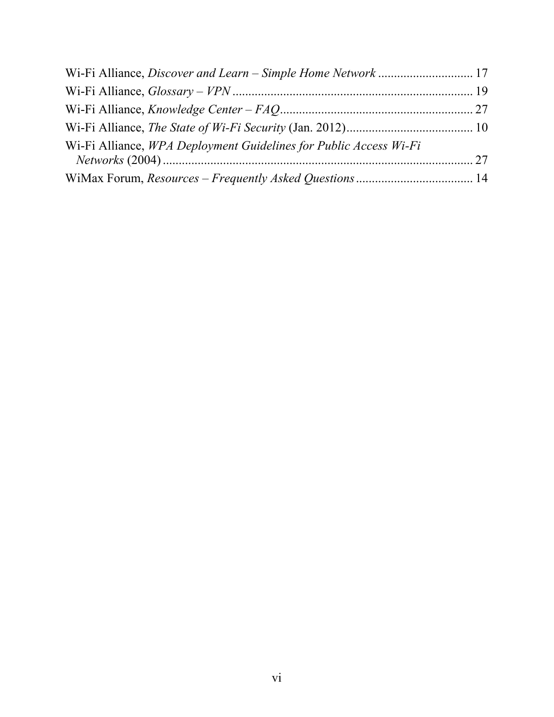| Wi-Fi Alliance, WPA Deployment Guidelines for Public Access Wi-Fi |  |
|-------------------------------------------------------------------|--|
|                                                                   |  |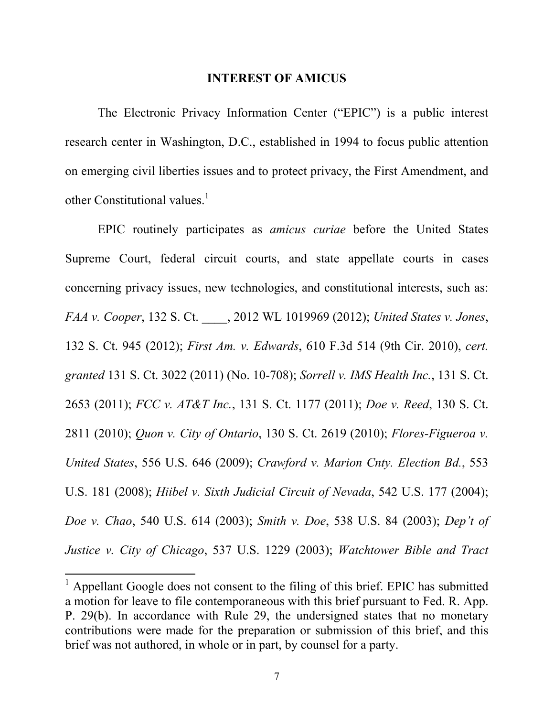#### **INTEREST OF AMICUS**

The Electronic Privacy Information Center ("EPIC") is a public interest research center in Washington, D.C., established in 1994 to focus public attention on emerging civil liberties issues and to protect privacy, the First Amendment, and other Constitutional values. $1$ 

EPIC routinely participates as *amicus curiae* before the United States Supreme Court, federal circuit courts, and state appellate courts in cases concerning privacy issues, new technologies, and constitutional interests, such as: *FAA v. Cooper*, 132 S. Ct. \_\_\_\_, 2012 WL 1019969 (2012); *United States v. Jones*, 132 S. Ct. 945 (2012); *First Am. v. Edwards*, 610 F.3d 514 (9th Cir. 2010), *cert. granted* 131 S. Ct. 3022 (2011) (No. 10-708); *Sorrell v. IMS Health Inc.*, 131 S. Ct. 2653 (2011); *FCC v. AT&T Inc.*, 131 S. Ct. 1177 (2011); *Doe v. Reed*, 130 S. Ct. 2811 (2010); *Quon v. City of Ontario*, 130 S. Ct. 2619 (2010); *Flores-Figueroa v. United States*, 556 U.S. 646 (2009); *Crawford v. Marion Cnty. Election Bd.*, 553 U.S. 181 (2008); *Hiibel v. Sixth Judicial Circuit of Nevada*, 542 U.S. 177 (2004); *Doe v. Chao*, 540 U.S. 614 (2003); *Smith v. Doe*, 538 U.S. 84 (2003); *Dep't of Justice v. City of Chicago*, 537 U.S. 1229 (2003); *Watchtower Bible and Tract* 

<sup>&</sup>lt;sup>1</sup> Appellant Google does not consent to the filing of this brief. EPIC has submitted a motion for leave to file contemporaneous with this brief pursuant to Fed. R. App. P. 29(b). In accordance with Rule 29, the undersigned states that no monetary contributions were made for the preparation or submission of this brief, and this brief was not authored, in whole or in part, by counsel for a party.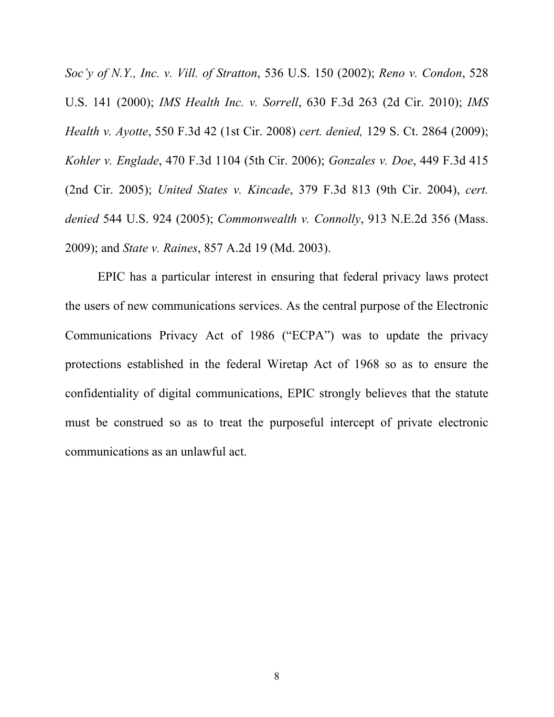*Soc'y of N.Y., Inc. v. Vill. of Stratton*, 536 U.S. 150 (2002); *Reno v. Condon*, 528 U.S. 141 (2000); *IMS Health Inc. v. Sorrell*, 630 F.3d 263 (2d Cir. 2010); *IMS Health v. Ayotte*, 550 F.3d 42 (1st Cir. 2008) *cert. denied,* 129 S. Ct. 2864 (2009); *Kohler v. Englade*, 470 F.3d 1104 (5th Cir. 2006); *Gonzales v. Doe*, 449 F.3d 415 (2nd Cir. 2005); *United States v. Kincade*, 379 F.3d 813 (9th Cir. 2004), *cert. denied* 544 U.S. 924 (2005); *Commonwealth v. Connolly*, 913 N.E.2d 356 (Mass. 2009); and *State v. Raines*, 857 A.2d 19 (Md. 2003).

EPIC has a particular interest in ensuring that federal privacy laws protect the users of new communications services. As the central purpose of the Electronic Communications Privacy Act of 1986 ("ECPA") was to update the privacy protections established in the federal Wiretap Act of 1968 so as to ensure the confidentiality of digital communications, EPIC strongly believes that the statute must be construed so as to treat the purposeful intercept of private electronic communications as an unlawful act.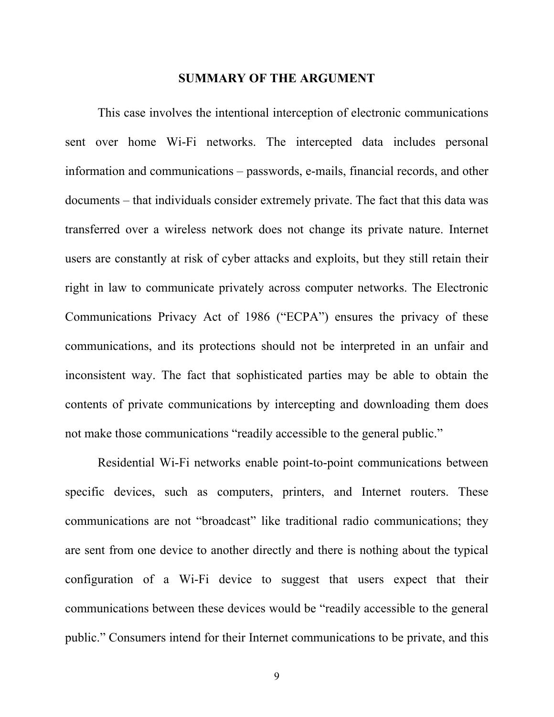#### **SUMMARY OF THE ARGUMENT**

This case involves the intentional interception of electronic communications sent over home Wi-Fi networks. The intercepted data includes personal information and communications – passwords, e-mails, financial records, and other documents – that individuals consider extremely private. The fact that this data was transferred over a wireless network does not change its private nature. Internet users are constantly at risk of cyber attacks and exploits, but they still retain their right in law to communicate privately across computer networks. The Electronic Communications Privacy Act of 1986 ("ECPA") ensures the privacy of these communications, and its protections should not be interpreted in an unfair and inconsistent way. The fact that sophisticated parties may be able to obtain the contents of private communications by intercepting and downloading them does not make those communications "readily accessible to the general public."

Residential Wi-Fi networks enable point-to-point communications between specific devices, such as computers, printers, and Internet routers. These communications are not "broadcast" like traditional radio communications; they are sent from one device to another directly and there is nothing about the typical configuration of a Wi-Fi device to suggest that users expect that their communications between these devices would be "readily accessible to the general public." Consumers intend for their Internet communications to be private, and this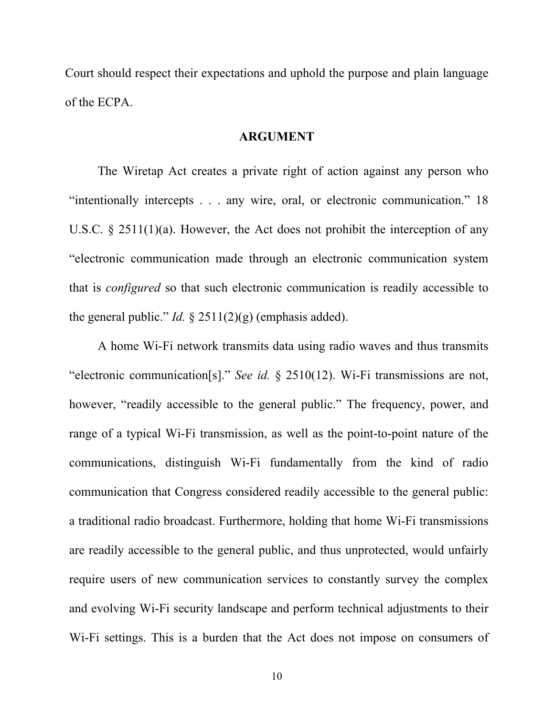Court should respect their expectations and uphold the purpose and plain language of the ECPA.

#### **ARGUMENT**

The Wiretap Act creates a private right of action against any person who "intentionally intercepts . . . any wire, oral, or electronic communication." 18 U.S.C. § 2511(1)(a). However, the Act does not prohibit the interception of any "electronic communication made through an electronic communication system that is *configured* so that such electronic communication is readily accessible to the general public." *Id.* § 2511(2)(g) (emphasis added).

A home Wi-Fi network transmits data using radio waves and thus transmits "electronic communication[s]." *See id.* § 2510(12). Wi-Fi transmissions are not, however, "readily accessible to the general public." The frequency, power, and range of a typical Wi-Fi transmission, as well as the point-to-point nature of the communications, distinguish Wi-Fi fundamentally from the kind of radio communication that Congress considered readily accessible to the general public: a traditional radio broadcast. Furthermore, holding that home Wi-Fi transmissions are readily accessible to the general public, and thus unprotected, would unfairly require users of new communication services to constantly survey the complex and evolving Wi-Fi security landscape and perform technical adjustments to their Wi-Fi settings. This is a burden that the Act does not impose on consumers of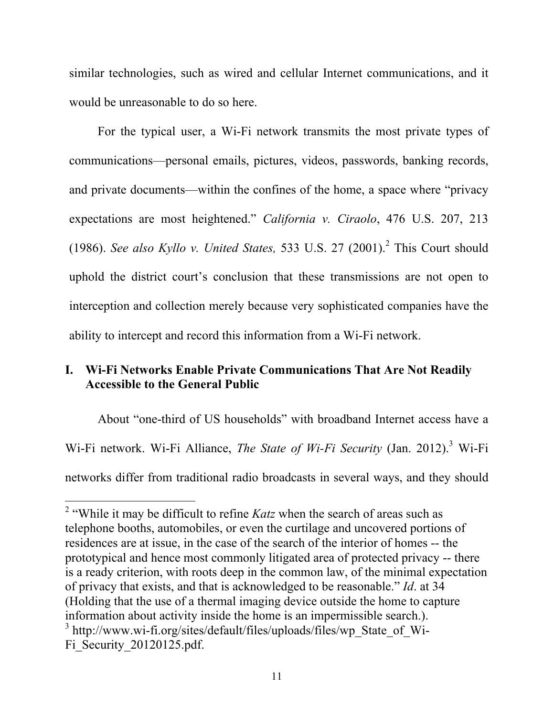similar technologies, such as wired and cellular Internet communications, and it would be unreasonable to do so here.

For the typical user, a Wi-Fi network transmits the most private types of communications—personal emails, pictures, videos, passwords, banking records, and private documents—within the confines of the home, a space where "privacy expectations are most heightened." *California v. Ciraolo*, 476 U.S. 207, 213 (1986). *See also Kyllo v. United States,* 533 U.S. 27 (2001). <sup>2</sup> This Court should uphold the district court's conclusion that these transmissions are not open to interception and collection merely because very sophisticated companies have the ability to intercept and record this information from a Wi-Fi network.

### **I. Wi-Fi Networks Enable Private Communications That Are Not Readily Accessible to the General Public**

About "one-third of US households" with broadband Internet access have a Wi-Fi network. Wi-Fi Alliance, *The State of Wi-Fi Security* (Jan. 2012). 3 Wi-Fi networks differ from traditional radio broadcasts in several ways, and they should

<sup>&</sup>lt;sup>2</sup> "While it may be difficult to refine *Katz* when the search of areas such as telephone booths, automobiles, or even the curtilage and uncovered portions of residences are at issue, in the case of the search of the interior of homes -- the prototypical and hence most commonly litigated area of protected privacy -- there is a ready criterion, with roots deep in the common law, of the minimal expectation of privacy that exists, and that is acknowledged to be reasonable." *Id*. at 34 (Holding that the use of a thermal imaging device outside the home to capture information about activity inside the home is an impermissible search.). <sup>3</sup> http://www.wi-fi.org/sites/default/files/uploads/files/wp\_State\_of\_Wi-Fi\_Security\_20120125.pdf.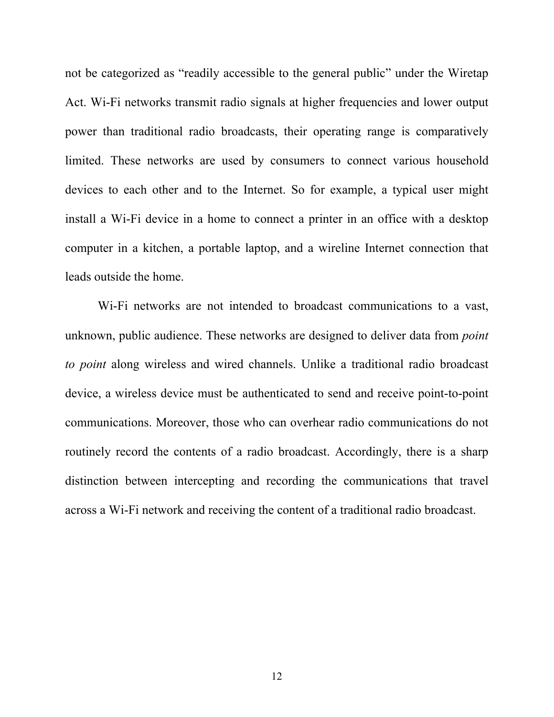not be categorized as "readily accessible to the general public" under the Wiretap Act. Wi-Fi networks transmit radio signals at higher frequencies and lower output power than traditional radio broadcasts, their operating range is comparatively limited. These networks are used by consumers to connect various household devices to each other and to the Internet. So for example, a typical user might install a Wi-Fi device in a home to connect a printer in an office with a desktop computer in a kitchen, a portable laptop, and a wireline Internet connection that leads outside the home.

Wi-Fi networks are not intended to broadcast communications to a vast, unknown, public audience. These networks are designed to deliver data from *point to point* along wireless and wired channels. Unlike a traditional radio broadcast device, a wireless device must be authenticated to send and receive point-to-point communications. Moreover, those who can overhear radio communications do not routinely record the contents of a radio broadcast. Accordingly, there is a sharp distinction between intercepting and recording the communications that travel across a Wi-Fi network and receiving the content of a traditional radio broadcast.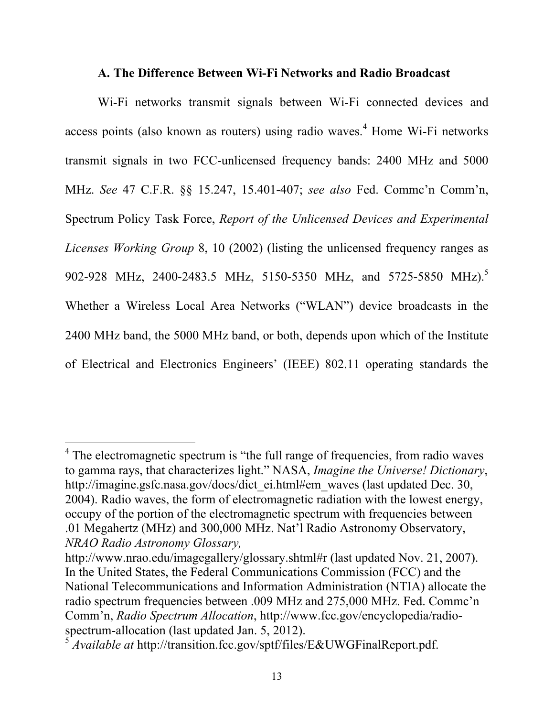#### **A. The Difference Between Wi-Fi Networks and Radio Broadcast**

Wi-Fi networks transmit signals between Wi-Fi connected devices and access points (also known as routers) using radio waves. $4$  Home Wi-Fi networks transmit signals in two FCC-unlicensed frequency bands: 2400 MHz and 5000 MHz. *See* 47 C.F.R. §§ 15.247, 15.401-407; *see also* Fed. Commc'n Comm'n, Spectrum Policy Task Force, *Report of the Unlicensed Devices and Experimental Licenses Working Group* 8, 10 (2002) (listing the unlicensed frequency ranges as 902-928 MHz, 2400-2483.5 MHz, 5150-5350 MHz, and 5725-5850 MHz).5 Whether a Wireless Local Area Networks ("WLAN") device broadcasts in the 2400 MHz band, the 5000 MHz band, or both, depends upon which of the Institute of Electrical and Electronics Engineers' (IEEE) 802.11 operating standards the

<sup>&</sup>lt;sup>4</sup> The electromagnetic spectrum is "the full range of frequencies, from radio waves to gamma rays, that characterizes light." NASA, *Imagine the Universe! Dictionary*, http://imagine.gsfc.nasa.gov/docs/dict\_ei.html#em\_waves (last updated Dec. 30, 2004). Radio waves, the form of electromagnetic radiation with the lowest energy, occupy of the portion of the electromagnetic spectrum with frequencies between .01 Megahertz (MHz) and 300,000 MHz. Nat'l Radio Astronomy Observatory, *NRAO Radio Astronomy Glossary,*

http://www.nrao.edu/imagegallery/glossary.shtml#r (last updated Nov. 21, 2007). In the United States, the Federal Communications Commission (FCC) and the National Telecommunications and Information Administration (NTIA) allocate the radio spectrum frequencies between .009 MHz and 275,000 MHz. Fed. Commc'n Comm'n, *Radio Spectrum Allocation*, http://www.fcc.gov/encyclopedia/radiospectrum-allocation (last updated Jan. 5, 2012).

<sup>5</sup> *Available at* http://transition.fcc.gov/sptf/files/E&UWGFinalReport.pdf.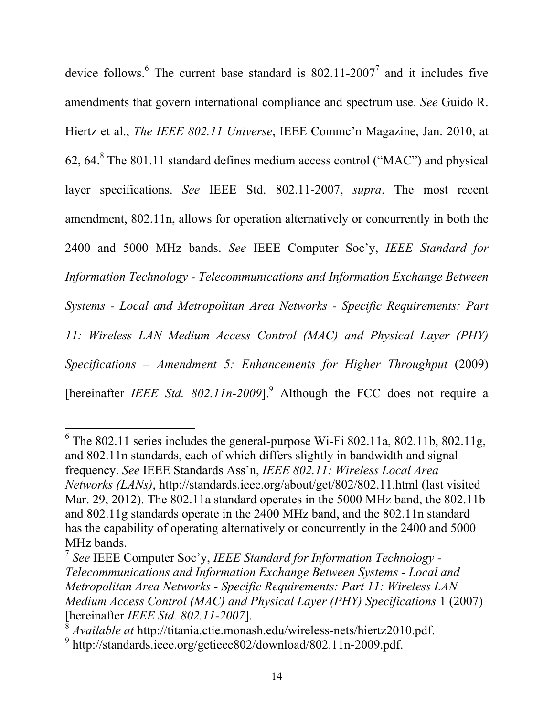device follows.<sup>6</sup> The current base standard is  $802.11$ - $2007<sup>7</sup>$  and it includes five amendments that govern international compliance and spectrum use. *See* Guido R. Hiertz et al., *The IEEE 802.11 Universe*, IEEE Commc'n Magazine, Jan. 2010, at 62,  $64.8$  The 801.11 standard defines medium access control ("MAC") and physical layer specifications. *See* IEEE Std. 802.11-2007, *supra*. The most recent amendment, 802.11n, allows for operation alternatively or concurrently in both the 2400 and 5000 MHz bands. *See* IEEE Computer Soc'y, *IEEE Standard for Information Technology - Telecommunications and Information Exchange Between Systems - Local and Metropolitan Area Networks - Specific Requirements: Part 11: Wireless LAN Medium Access Control (MAC) and Physical Layer (PHY) Specifications – Amendment 5: Enhancements for Higher Throughput* (2009) [hereinafter *IEEE Std. 802.11n-2009*].<sup>9</sup> Although the FCC does not require a

 $\frac{1}{6}$  The 802.11 series includes the general-purpose Wi-Fi 802.11a, 802.11b, 802.11g, and 802.11n standards, each of which differs slightly in bandwidth and signal frequency. *See* IEEE Standards Ass'n, *IEEE 802.11: Wireless Local Area Networks (LANs)*, http://standards.ieee.org/about/get/802/802.11.html (last visited Mar. 29, 2012). The 802.11a standard operates in the 5000 MHz band, the 802.11b and 802.11g standards operate in the 2400 MHz band, and the 802.11n standard has the capability of operating alternatively or concurrently in the 2400 and 5000 MHz bands.

<sup>7</sup> *See* IEEE Computer Soc'y, *IEEE Standard for Information Technology - Telecommunications and Information Exchange Between Systems - Local and Metropolitan Area Networks - Specific Requirements: Part 11: Wireless LAN Medium Access Control (MAC) and Physical Layer (PHY) Specifications* 1 (2007) [hereinafter *IEEE Std. 802.11-2007*].

<sup>8</sup> *Available at* http://titania.ctie.monash.edu/wireless-nets/hiertz2010.pdf.

<sup>&</sup>lt;sup>9</sup> http://standards.ieee.org/getieee802/download/802.11n-2009.pdf.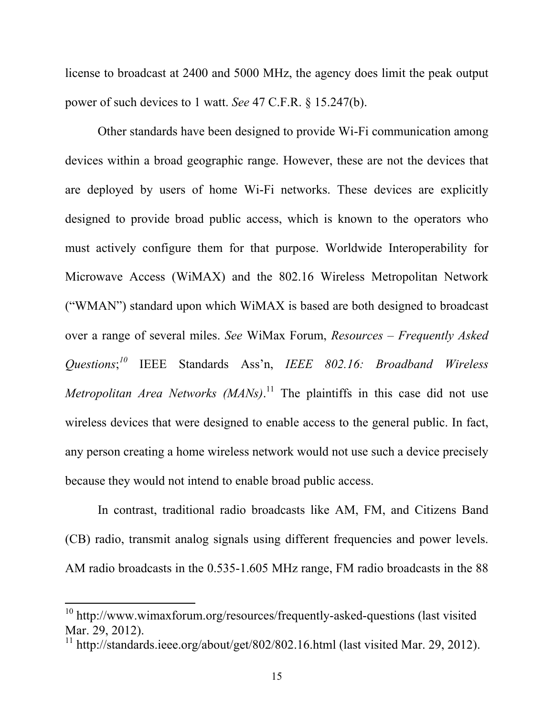license to broadcast at 2400 and 5000 MHz, the agency does limit the peak output power of such devices to 1 watt. *See* 47 C.F.R. § 15.247(b).

Other standards have been designed to provide Wi-Fi communication among devices within a broad geographic range. However, these are not the devices that are deployed by users of home Wi-Fi networks. These devices are explicitly designed to provide broad public access, which is known to the operators who must actively configure them for that purpose. Worldwide Interoperability for Microwave Access (WiMAX) and the 802.16 Wireless Metropolitan Network ("WMAN") standard upon which WiMAX is based are both designed to broadcast over a range of several miles. *See* WiMax Forum, *Resources – Frequently Asked Questions*; *<sup>10</sup>* IEEE Standards Ass'n, *IEEE 802.16: Broadband Wireless Metropolitan Area Networks (MANs)*.<sup>11</sup> The plaintiffs in this case did not use wireless devices that were designed to enable access to the general public. In fact, any person creating a home wireless network would not use such a device precisely because they would not intend to enable broad public access.

In contrast, traditional radio broadcasts like AM, FM, and Citizens Band (CB) radio, transmit analog signals using different frequencies and power levels. AM radio broadcasts in the 0.535-1.605 MHz range, FM radio broadcasts in the 88

 $10$  http://www.wimaxforum.org/resources/frequently-asked-questions (last visited Mar. 29, 2012).

<sup>&</sup>lt;sup>11</sup> http://standards.ieee.org/about/get/802/802.16.html (last visited Mar. 29, 2012).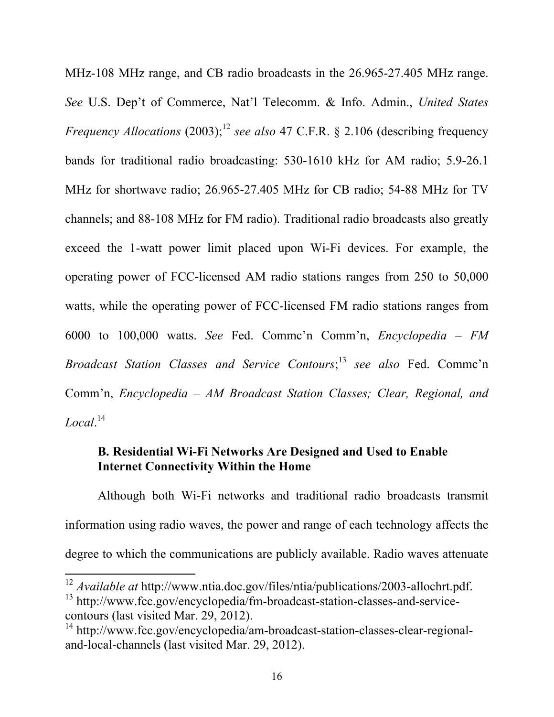MHz-108 MHz range, and CB radio broadcasts in the 26.965-27.405 MHz range. *See* U.S. Dep't of Commerce, Nat'l Telecomm. & Info. Admin., *United States Frequency Allocations* (2003);<sup>12</sup> *see also* 47 C.F.R. § 2.106 (describing frequency bands for traditional radio broadcasting: 530-1610 kHz for AM radio; 5.9-26.1 MHz for shortwave radio; 26.965-27.405 MHz for CB radio; 54-88 MHz for TV channels; and 88-108 MHz for FM radio). Traditional radio broadcasts also greatly exceed the 1-watt power limit placed upon Wi-Fi devices. For example, the operating power of FCC-licensed AM radio stations ranges from 250 to 50,000 watts, while the operating power of FCC-licensed FM radio stations ranges from 6000 to 100,000 watts. *See* Fed. Commc'n Comm'n, *Encyclopedia – FM Broadcast Station Classes and Service Contours*; <sup>13</sup> *see also* Fed. Commc'n Comm'n, *Encyclopedia – AM Broadcast Station Classes; Clear, Regional, and Local*. 14

### **B. Residential Wi-Fi Networks Are Designed and Used to Enable Internet Connectivity Within the Home**

Although both Wi-Fi networks and traditional radio broadcasts transmit information using radio waves, the power and range of each technology affects the degree to which the communications are publicly available. Radio waves attenuate

<sup>&</sup>lt;sup>12</sup> Available at http://www.ntia.doc.gov/files/ntia/publications/2003-allochrt.pdf.

<sup>&</sup>lt;sup>13</sup> http://www.fcc.gov/encyclopedia/fm-broadcast-station-classes-and-servicecontours (last visited Mar. 29, 2012).

<sup>14</sup> http://www.fcc.gov/encyclopedia/am-broadcast-station-classes-clear-regionaland-local-channels (last visited Mar. 29, 2012).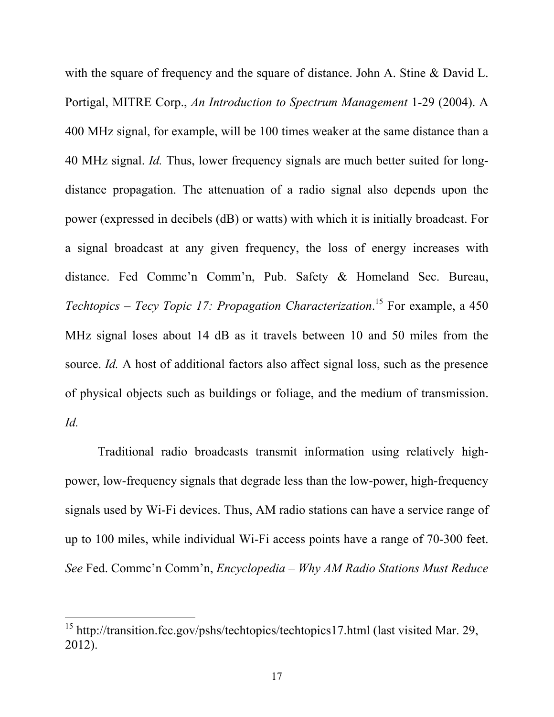with the square of frequency and the square of distance. John A. Stine & David L. Portigal, MITRE Corp., *An Introduction to Spectrum Management* 1-29 (2004). A 400 MHz signal, for example, will be 100 times weaker at the same distance than a 40 MHz signal. *Id.* Thus, lower frequency signals are much better suited for longdistance propagation. The attenuation of a radio signal also depends upon the power (expressed in decibels (dB) or watts) with which it is initially broadcast. For a signal broadcast at any given frequency, the loss of energy increases with distance. Fed Commc'n Comm'n, Pub. Safety & Homeland Sec. Bureau, *Techtopics – Tecy Topic 17: Propagation Characterization*. 15 For example, a 450 MHz signal loses about 14 dB as it travels between 10 and 50 miles from the source. *Id.* A host of additional factors also affect signal loss, such as the presence of physical objects such as buildings or foliage, and the medium of transmission. *Id.*

Traditional radio broadcasts transmit information using relatively highpower, low-frequency signals that degrade less than the low-power, high-frequency signals used by Wi-Fi devices. Thus, AM radio stations can have a service range of up to 100 miles, while individual Wi-Fi access points have a range of 70-300 feet. *See* Fed. Commc'n Comm'n, *Encyclopedia – Why AM Radio Stations Must Reduce* 

 $15$  http://transition.fcc.gov/pshs/techtopics/techtopics17.html (last visited Mar. 29, 2012).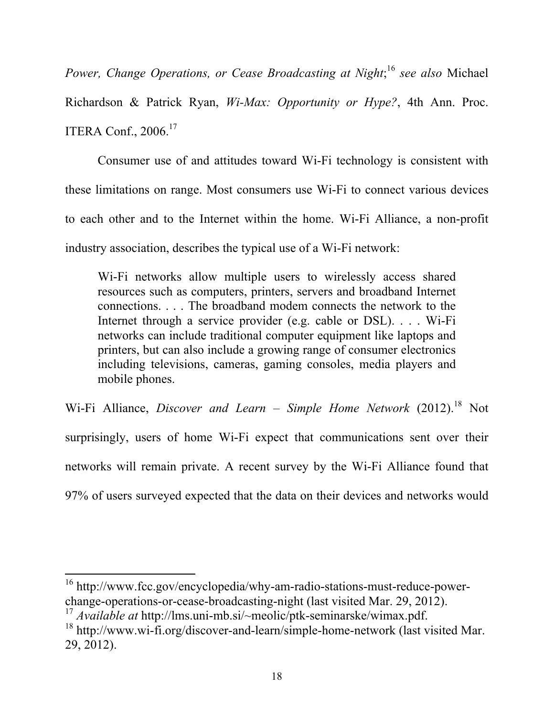*Power, Change Operations, or Cease Broadcasting at Night*; <sup>16</sup> *see also* Michael

Richardson & Patrick Ryan, *Wi-Max: Opportunity or Hype?*, 4th Ann. Proc. ITERA Conf., 2006. 17

Consumer use of and attitudes toward Wi-Fi technology is consistent with these limitations on range. Most consumers use Wi-Fi to connect various devices to each other and to the Internet within the home. Wi-Fi Alliance, a non-profit industry association, describes the typical use of a Wi-Fi network:

Wi-Fi networks allow multiple users to wirelessly access shared resources such as computers, printers, servers and broadband Internet connections. . . . The broadband modem connects the network to the Internet through a service provider (e.g. cable or DSL). . . . Wi-Fi networks can include traditional computer equipment like laptops and printers, but can also include a growing range of consumer electronics including televisions, cameras, gaming consoles, media players and mobile phones.

Wi-Fi Alliance, *Discover and Learn – Simple Home Network* (2012). 18 Not surprisingly, users of home Wi-Fi expect that communications sent over their networks will remain private. A recent survey by the Wi-Fi Alliance found that 97% of users surveyed expected that the data on their devices and networks would

<sup>16</sup> http://www.fcc.gov/encyclopedia/why-am-radio-stations-must-reduce-powerchange-operations-or-cease-broadcasting-night (last visited Mar. 29, 2012).

<sup>17</sup> *Available at* http://lms.uni-mb.si/~meolic/ptk-seminarske/wimax.pdf.

<sup>&</sup>lt;sup>18</sup> http://www.wi-fi.org/discover-and-learn/simple-home-network (last visited Mar. 29, 2012).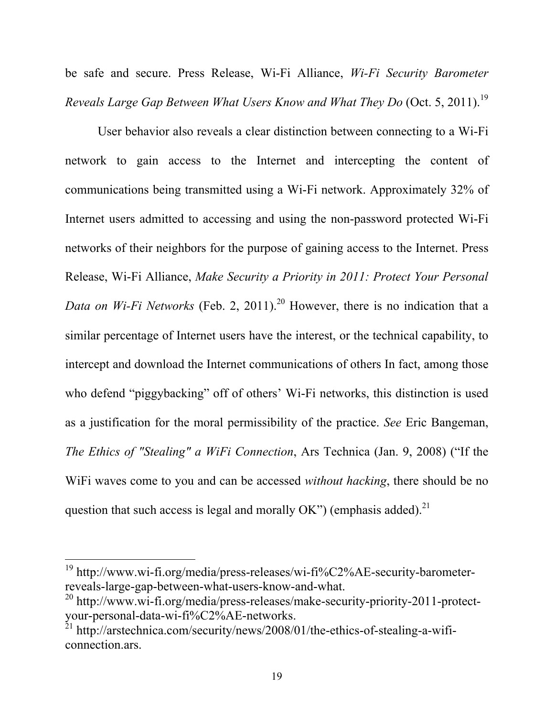be safe and secure. Press Release, Wi-Fi Alliance, *Wi-Fi Security Barometer Reveals Large Gap Between What Users Know and What They Do* (Oct. 5, 2011).<sup>19</sup>

User behavior also reveals a clear distinction between connecting to a Wi-Fi network to gain access to the Internet and intercepting the content of communications being transmitted using a Wi-Fi network. Approximately 32% of Internet users admitted to accessing and using the non-password protected Wi-Fi networks of their neighbors for the purpose of gaining access to the Internet. Press Release, Wi-Fi Alliance, *Make Security a Priority in 2011: Protect Your Personal Data on Wi-Fi Networks* (Feb. 2, 2011). <sup>20</sup> However, there is no indication that a similar percentage of Internet users have the interest, or the technical capability, to intercept and download the Internet communications of others In fact, among those who defend "piggybacking" off of others' Wi-Fi networks, this distinction is used as a justification for the moral permissibility of the practice. *See* Eric Bangeman, *The Ethics of "Stealing" a WiFi Connection*, Ars Technica (Jan. 9, 2008) ("If the WiFi waves come to you and can be accessed *without hacking*, there should be no question that such access is legal and morally OK") (emphasis added).<sup>21</sup>

<sup>&</sup>lt;sup>19</sup> http://www.wi-fi.org/media/press-releases/wi-fi%C2%AE-security-barometerreveals-large-gap-between-what-users-know-and-what.

<sup>&</sup>lt;sup>20</sup> http://www.wi-fi.org/media/press-releases/make-security-priority-2011-protectyour-personal-data-wi-fi%C2%AE-networks.

 $^{21}$  http://arstechnica.com/security/news/2008/01/the-ethics-of-stealing-a-wificonnection.ars.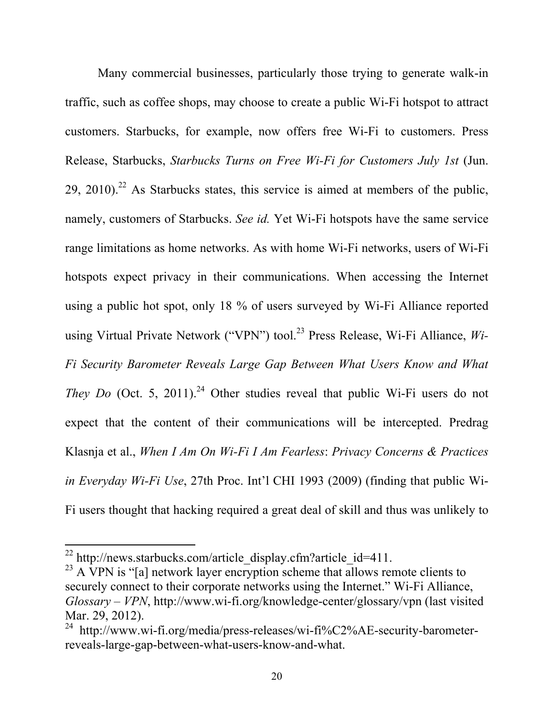Many commercial businesses, particularly those trying to generate walk-in traffic, such as coffee shops, may choose to create a public Wi-Fi hotspot to attract customers. Starbucks, for example, now offers free Wi-Fi to customers. Press Release, Starbucks, *Starbucks Turns on Free Wi-Fi for Customers July 1st* (Jun.  $29$ ,  $2010$ ).<sup>22</sup> As Starbucks states, this service is aimed at members of the public, namely, customers of Starbucks. *See id.* Yet Wi-Fi hotspots have the same service range limitations as home networks. As with home Wi-Fi networks, users of Wi-Fi hotspots expect privacy in their communications. When accessing the Internet using a public hot spot, only 18 % of users surveyed by Wi-Fi Alliance reported using Virtual Private Network ("VPN") tool.<sup>23</sup> Press Release, Wi-Fi Alliance, Wi-*Fi Security Barometer Reveals Large Gap Between What Users Know and What*  They Do (Oct. 5, 2011).<sup>24</sup> Other studies reveal that public Wi-Fi users do not expect that the content of their communications will be intercepted. Predrag Klasnja et al., *When I Am On Wi-Fi I Am Fearless*: *Privacy Concerns & Practices in Everyday Wi-Fi Use*, 27th Proc. Int'l CHI 1993 (2009) (finding that public Wi-Fi users thought that hacking required a great deal of skill and thus was unlikely to

<sup>&</sup>lt;sup>22</sup> http://news.starbucks.com/article\_display.cfm?article\_id=411.

 $23$  A VPN is "[a] network layer encryption scheme that allows remote clients to securely connect to their corporate networks using the Internet." Wi-Fi Alliance, *Glossary – VPN*, http://www.wi-fi.org/knowledge-center/glossary/vpn (last visited Mar. 29, 2012).<br><sup>24</sup> http://www.wi-fi.org/media/press-releases/wi-fi%C2%AE-security-barometer-

reveals-large-gap-between-what-users-know-and-what.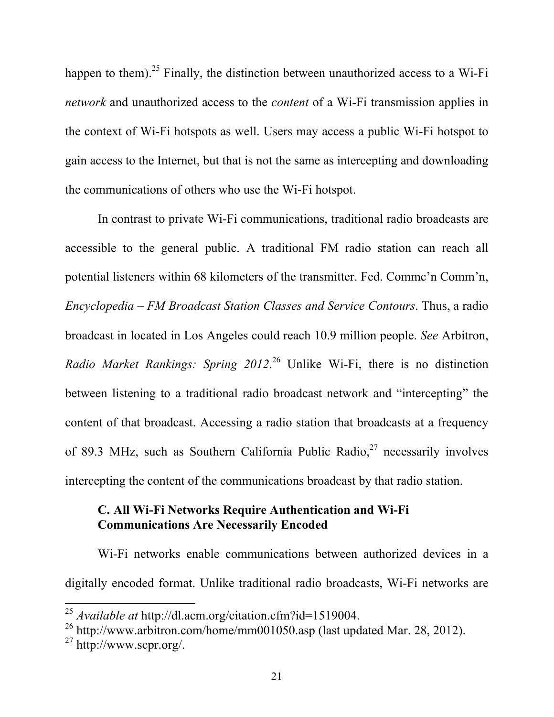happen to them).<sup>25</sup> Finally, the distinction between unauthorized access to a Wi-Fi *network* and unauthorized access to the *content* of a Wi-Fi transmission applies in the context of Wi-Fi hotspots as well. Users may access a public Wi-Fi hotspot to gain access to the Internet, but that is not the same as intercepting and downloading the communications of others who use the Wi-Fi hotspot.

In contrast to private Wi-Fi communications, traditional radio broadcasts are accessible to the general public. A traditional FM radio station can reach all potential listeners within 68 kilometers of the transmitter. Fed. Commc'n Comm'n, *Encyclopedia – FM Broadcast Station Classes and Service Contours*. Thus, a radio broadcast in located in Los Angeles could reach 10.9 million people. *See* Arbitron, *Radio Market Rankings: Spring 2012*. 26 Unlike Wi-Fi, there is no distinction between listening to a traditional radio broadcast network and "intercepting" the content of that broadcast. Accessing a radio station that broadcasts at a frequency of 89.3 MHz, such as Southern California Public Radio,  $2^7$  necessarily involves intercepting the content of the communications broadcast by that radio station.

### **C. All Wi-Fi Networks Require Authentication and Wi-Fi Communications Are Necessarily Encoded**

Wi-Fi networks enable communications between authorized devices in a digitally encoded format. Unlike traditional radio broadcasts, Wi-Fi networks are

<sup>&</sup>lt;sup>25</sup> *Available at* http://dl.acm.org/citation.cfm?id=1519004.

 $^{26}$  http://www.arbitron.com/home/mm001050.asp (last updated Mar. 28, 2012).

 $27 \text{ http://www.scpr.org/}.$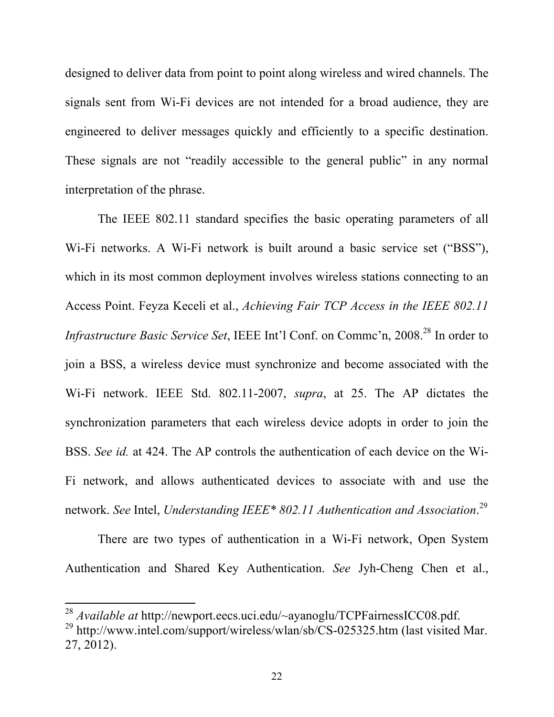designed to deliver data from point to point along wireless and wired channels. The signals sent from Wi-Fi devices are not intended for a broad audience, they are engineered to deliver messages quickly and efficiently to a specific destination. These signals are not "readily accessible to the general public" in any normal interpretation of the phrase.

The IEEE 802.11 standard specifies the basic operating parameters of all Wi-Fi networks. A Wi-Fi network is built around a basic service set ("BSS"), which in its most common deployment involves wireless stations connecting to an Access Point. Feyza Keceli et al., *Achieving Fair TCP Access in the IEEE 802.11 Infrastructure Basic Service Set*, IEEE Int'l Conf. on Commc'n, 2008. 28 In order to join a BSS, a wireless device must synchronize and become associated with the Wi-Fi network. IEEE Std. 802.11-2007, *supra*, at 25. The AP dictates the synchronization parameters that each wireless device adopts in order to join the BSS. *See id.* at 424. The AP controls the authentication of each device on the Wi-Fi network, and allows authenticated devices to associate with and use the network. *See* Intel, *Understanding IEEE\* 802.11 Authentication and Association*. 29

There are two types of authentication in a Wi-Fi network, Open System Authentication and Shared Key Authentication. *See* Jyh-Cheng Chen et al.,

<sup>&</sup>lt;sup>28</sup> Available at http://newport.eecs.uci.edu/~ayanoglu/TCPFairnessICC08.pdf. <sup>29</sup> http://www.intel.com/support/wireless/wlan/sb/CS-025325.htm (last visited Mar. 27, 2012).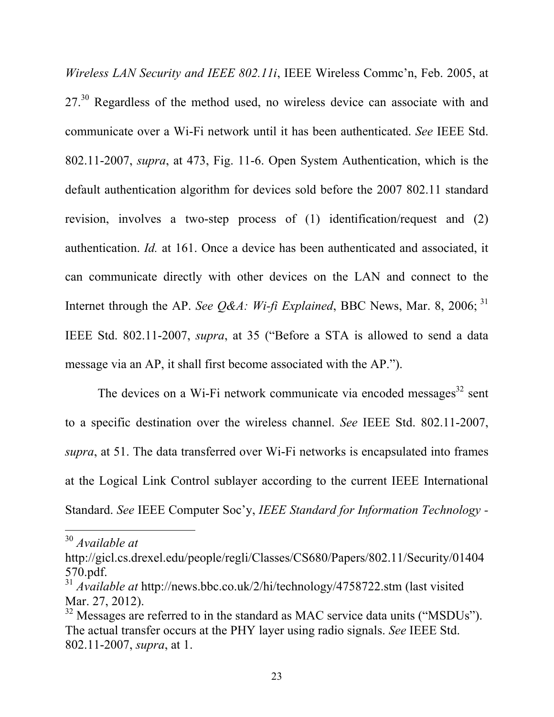*Wireless LAN Security and IEEE 802.11i*, IEEE Wireless Commc'n, Feb. 2005, at 27.<sup>30</sup> Regardless of the method used, no wireless device can associate with and communicate over a Wi-Fi network until it has been authenticated. *See* IEEE Std. 802.11-2007, *supra*, at 473, Fig. 11-6. Open System Authentication, which is the default authentication algorithm for devices sold before the 2007 802.11 standard revision, involves a two-step process of (1) identification/request and (2) authentication. *Id.* at 161. Once a device has been authenticated and associated, it can communicate directly with other devices on the LAN and connect to the Internet through the AP. *See O&A: Wi-fi Explained*, BBC News, Mar. 8, 2006;  $31$ IEEE Std. 802.11-2007, *supra*, at 35 ("Before a STA is allowed to send a data message via an AP, it shall first become associated with the AP.").

The devices on a Wi-Fi network communicate via encoded messages $32$  sent to a specific destination over the wireless channel. *See* IEEE Std. 802.11-2007, *supra*, at 51. The data transferred over Wi-Fi networks is encapsulated into frames at the Logical Link Control sublayer according to the current IEEE International Standard. *See* IEEE Computer Soc'y, *IEEE Standard for Information Technology -*

<sup>&</sup>lt;sup>30</sup> Available at

http://gicl.cs.drexel.edu/people/regli/Classes/CS680/Papers/802.11/Security/01404 570.pdf.

<sup>31</sup> *Available at* http://news.bbc.co.uk/2/hi/technology/4758722.stm (last visited Mar. 27, 2012).

 $32$  Messages are referred to in the standard as MAC service data units ("MSDUs"). The actual transfer occurs at the PHY layer using radio signals. *See* IEEE Std. 802.11-2007, *supra*, at 1.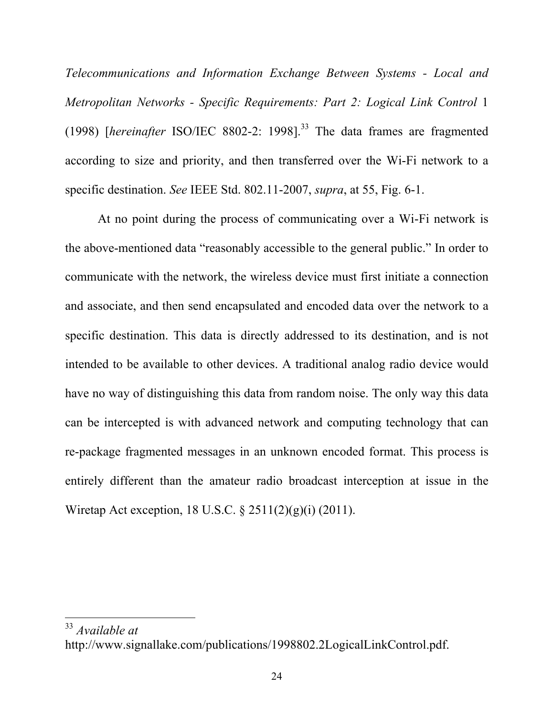*Telecommunications and Information Exchange Between Systems - Local and Metropolitan Networks - Specific Requirements: Part 2: Logical Link Control* 1 (1998) [*hereinafter* ISO/IEC 8802-2: 1998].33 The data frames are fragmented according to size and priority, and then transferred over the Wi-Fi network to a specific destination. *See* IEEE Std. 802.11-2007, *supra*, at 55, Fig. 6-1.

At no point during the process of communicating over a Wi-Fi network is the above-mentioned data "reasonably accessible to the general public." In order to communicate with the network, the wireless device must first initiate a connection and associate, and then send encapsulated and encoded data over the network to a specific destination. This data is directly addressed to its destination, and is not intended to be available to other devices. A traditional analog radio device would have no way of distinguishing this data from random noise. The only way this data can be intercepted is with advanced network and computing technology that can re-package fragmented messages in an unknown encoded format. This process is entirely different than the amateur radio broadcast interception at issue in the Wiretap Act exception, 18 U.S.C. § 2511(2)(g)(i) (2011).

<sup>&</sup>lt;sup>33</sup> Available at

http://www.signallake.com/publications/1998802.2LogicalLinkControl.pdf.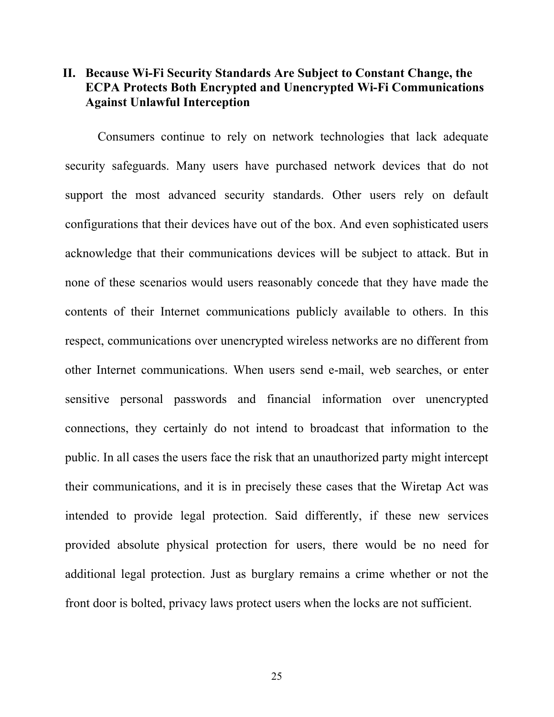### **II. Because Wi-Fi Security Standards Are Subject to Constant Change, the ECPA Protects Both Encrypted and Unencrypted Wi-Fi Communications Against Unlawful Interception**

Consumers continue to rely on network technologies that lack adequate security safeguards. Many users have purchased network devices that do not support the most advanced security standards. Other users rely on default configurations that their devices have out of the box. And even sophisticated users acknowledge that their communications devices will be subject to attack. But in none of these scenarios would users reasonably concede that they have made the contents of their Internet communications publicly available to others. In this respect, communications over unencrypted wireless networks are no different from other Internet communications. When users send e-mail, web searches, or enter sensitive personal passwords and financial information over unencrypted connections, they certainly do not intend to broadcast that information to the public. In all cases the users face the risk that an unauthorized party might intercept their communications, and it is in precisely these cases that the Wiretap Act was intended to provide legal protection. Said differently, if these new services provided absolute physical protection for users, there would be no need for additional legal protection. Just as burglary remains a crime whether or not the front door is bolted, privacy laws protect users when the locks are not sufficient.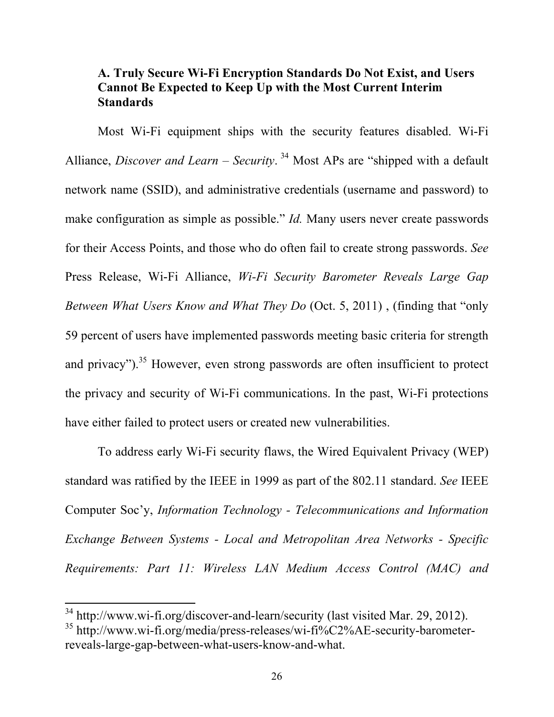# **A. Truly Secure Wi-Fi Encryption Standards Do Not Exist, and Users Cannot Be Expected to Keep Up with the Most Current Interim Standards**

Most Wi-Fi equipment ships with the security features disabled. Wi-Fi Alliance, *Discover and Learn – Security*. 34 Most APs are "shipped with a default network name (SSID), and administrative credentials (username and password) to make configuration as simple as possible." *Id.* Many users never create passwords for their Access Points, and those who do often fail to create strong passwords. *See* Press Release, Wi-Fi Alliance, *Wi-Fi Security Barometer Reveals Large Gap Between What Users Know and What They Do* (Oct. 5, 2011) , (finding that "only 59 percent of users have implemented passwords meeting basic criteria for strength and privacy"). $35$  However, even strong passwords are often insufficient to protect the privacy and security of Wi-Fi communications. In the past, Wi-Fi protections have either failed to protect users or created new vulnerabilities.

To address early Wi-Fi security flaws, the Wired Equivalent Privacy (WEP) standard was ratified by the IEEE in 1999 as part of the 802.11 standard. *See* IEEE Computer Soc'y, *Information Technology - Telecommunications and Information Exchange Between Systems - Local and Metropolitan Area Networks - Specific Requirements: Part 11: Wireless LAN Medium Access Control (MAC) and* 

 $34$  http://www.wi-fi.org/discover-and-learn/security (last visited Mar. 29, 2012).

<sup>35</sup> http://www.wi-fi.org/media/press-releases/wi-fi%C2%AE-security-barometerreveals-large-gap-between-what-users-know-and-what.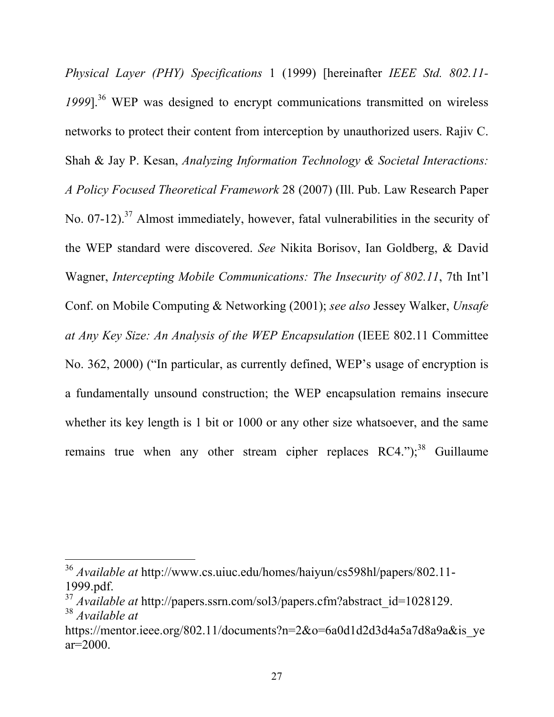*Physical Layer (PHY) Specifications* 1 (1999) [hereinafter *IEEE Std. 802.11- 1999*].36 WEP was designed to encrypt communications transmitted on wireless networks to protect their content from interception by unauthorized users. Rajiv C. Shah & Jay P. Kesan, *Analyzing Information Technology & Societal Interactions: A Policy Focused Theoretical Framework* 28 (2007) (Ill. Pub. Law Research Paper No. 07-12).<sup>37</sup> Almost immediately, however, fatal vulnerabilities in the security of the WEP standard were discovered. *See* Nikita Borisov, Ian Goldberg, & David Wagner, *Intercepting Mobile Communications: The Insecurity of 802.11*, 7th Int'l Conf. on Mobile Computing & Networking (2001); *see also* Jessey Walker, *Unsafe at Any Key Size: An Analysis of the WEP Encapsulation* (IEEE 802.11 Committee No. 362, 2000) ("In particular, as currently defined, WEP's usage of encryption is a fundamentally unsound construction; the WEP encapsulation remains insecure whether its key length is 1 bit or 1000 or any other size whatsoever, and the same remains true when any other stream cipher replaces  $RC4."$ ;<sup>38</sup> Guillaume

<sup>&</sup>lt;sup>36</sup> Available at http://www.cs.uiuc.edu/homes/haiyun/cs598hl/papers/802.11-1999.pdf.

<sup>&</sup>lt;sup>37</sup> *Available at* http://papers.ssrn.com/sol3/papers.cfm?abstract\_id=1028129. <sup>38</sup> *Available at*

https://mentor.ieee.org/802.11/documents?n=2&o=6a0d1d2d3d4a5a7d8a9a&is\_ye ar=2000.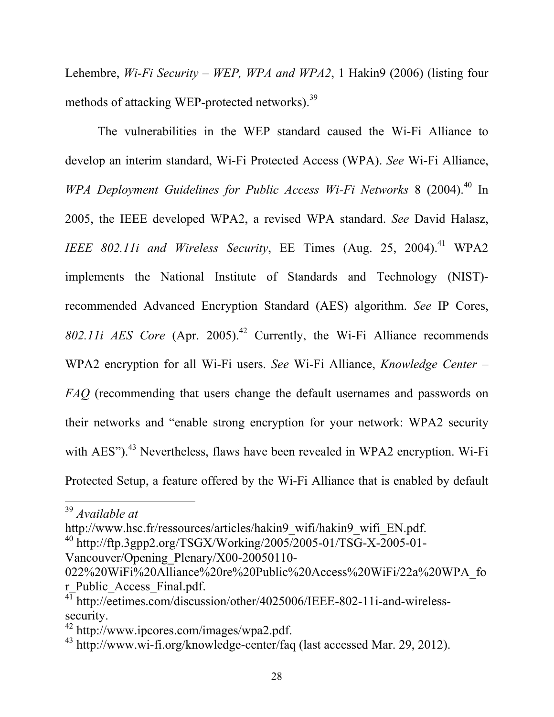Lehembre, *Wi-Fi Security – WEP, WPA and WPA2*, 1 Hakin9 (2006) (listing four methods of attacking WEP-protected networks).39

The vulnerabilities in the WEP standard caused the Wi-Fi Alliance to develop an interim standard, Wi-Fi Protected Access (WPA). *See* Wi-Fi Alliance, *WPA Deployment Guidelines for Public Access Wi-Fi Networks* 8 (2004). 40 In 2005, the IEEE developed WPA2, a revised WPA standard. *See* David Halasz, *IEEE 802.11i and Wireless Security*, EE Times (Aug. 25, 2004). 41 WPA2 implements the National Institute of Standards and Technology (NIST) recommended Advanced Encryption Standard (AES) algorithm. *See* IP Cores, *802.11i AES Core* (Apr. 2005). 42 Currently, the Wi-Fi Alliance recommends WPA2 encryption for all Wi-Fi users. *See* Wi-Fi Alliance, *Knowledge Center – FAQ* (recommending that users change the default usernames and passwords on their networks and "enable strong encryption for your network: WPA2 security with AES").<sup>43</sup> Nevertheless, flaws have been revealed in WPA2 encryption. Wi-Fi Protected Setup, a feature offered by the Wi-Fi Alliance that is enabled by default

http://www.hsc.fr/ressources/articles/hakin9\_wifi/hakin9\_wifi\_EN.pdf.

<sup>&</sup>lt;sup>39</sup> Available at

 $^{40}$  http://ftp.3gpp2.org/TSGX/Working/2005/2005-01/TSG-X-2005-01-Vancouver/Opening\_Plenary/X00-20050110-

<sup>022%20</sup>WiFi%20Alliance%20re%20Public%20Access%20WiFi/22a%20WPA\_fo r\_Public\_Access\_Final.pdf.

 $4\overline{1}$  http://eetimes.com/discussion/other/4025006/IEEE-802-11i-and-wirelesssecurity.

<sup>42</sup> http://www.ipcores.com/images/wpa2.pdf.

<sup>43</sup> http://www.wi-fi.org/knowledge-center/faq (last accessed Mar. 29, 2012).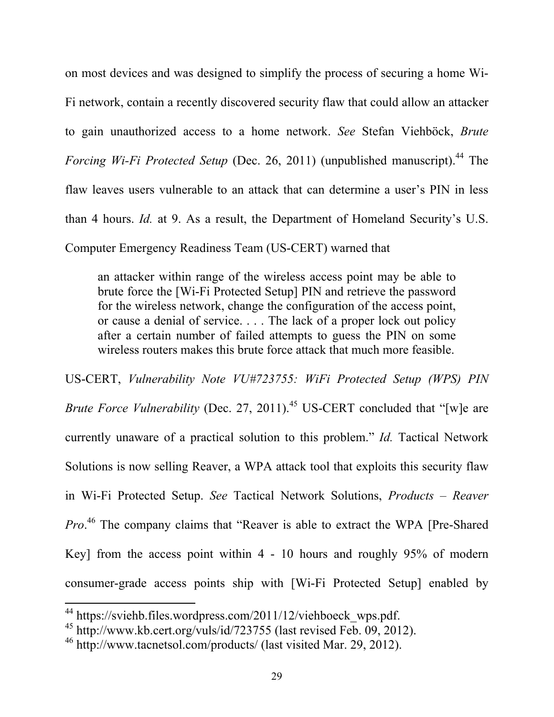on most devices and was designed to simplify the process of securing a home Wi-Fi network, contain a recently discovered security flaw that could allow an attacker to gain unauthorized access to a home network. *See* Stefan Viehböck, *Brute Forcing Wi-Fi Protected Setup* (Dec. 26, 2011) (unpublished manuscript). 44 The flaw leaves users vulnerable to an attack that can determine a user's PIN in less than 4 hours. *Id.* at 9. As a result, the Department of Homeland Security's U.S. Computer Emergency Readiness Team (US-CERT) warned that

an attacker within range of the wireless access point may be able to brute force the [Wi-Fi Protected Setup] PIN and retrieve the password for the wireless network, change the configuration of the access point, or cause a denial of service. . . . The lack of a proper lock out policy after a certain number of failed attempts to guess the PIN on some wireless routers makes this brute force attack that much more feasible.

US-CERT, *Vulnerability Note VU#723755: WiFi Protected Setup (WPS) PIN Brute Force Vulnerability* (Dec. 27, 2011). 45 US-CERT concluded that "[w]e are currently unaware of a practical solution to this problem." *Id.* Tactical Network Solutions is now selling Reaver, a WPA attack tool that exploits this security flaw in Wi-Fi Protected Setup. *See* Tactical Network Solutions, *Products – Reaver Pro*. 46 The company claims that "Reaver is able to extract the WPA [Pre-Shared Key] from the access point within 4 - 10 hours and roughly 95% of modern consumer-grade access points ship with [Wi-Fi Protected Setup] enabled by

<sup>&</sup>lt;sup>44</sup> https://sviehb.files.wordpress.com/2011/12/viehboeck\_wps.pdf.

<sup>&</sup>lt;sup>45</sup> http://www.kb.cert.org/vuls/id/723755 (last revised Feb.  $\overline{09}$ , 2012).

<sup>46</sup> http://www.tacnetsol.com/products/ (last visited Mar. 29, 2012).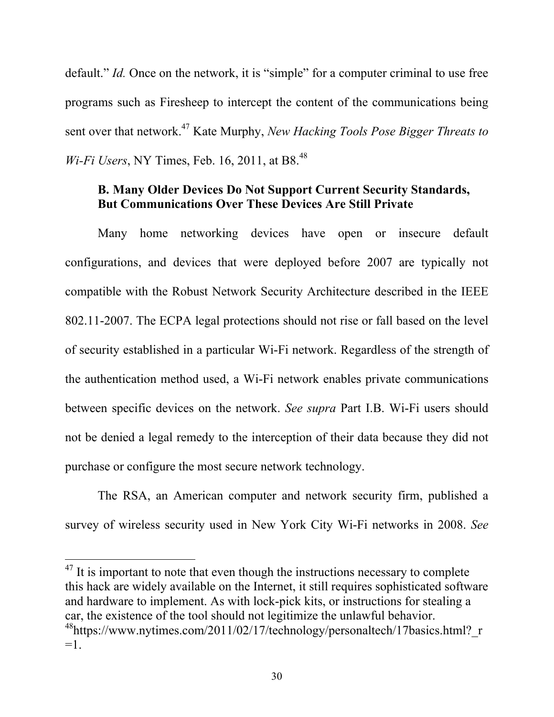default." *Id.* Once on the network, it is "simple" for a computer criminal to use free programs such as Firesheep to intercept the content of the communications being sent over that network.47 Kate Murphy, *New Hacking Tools Pose Bigger Threats to Wi-Fi Users*, NY Times, Feb. 16, 2011, at B8. 48

# **B. Many Older Devices Do Not Support Current Security Standards, But Communications Over These Devices Are Still Private**

Many home networking devices have open or insecure default configurations, and devices that were deployed before 2007 are typically not compatible with the Robust Network Security Architecture described in the IEEE 802.11-2007. The ECPA legal protections should not rise or fall based on the level of security established in a particular Wi-Fi network. Regardless of the strength of the authentication method used, a Wi-Fi network enables private communications between specific devices on the network. *See supra* Part I.B. Wi-Fi users should not be denied a legal remedy to the interception of their data because they did not purchase or configure the most secure network technology.

The RSA, an American computer and network security firm, published a survey of wireless security used in New York City Wi-Fi networks in 2008. *See* 

 $17$  It is important to note that even though the instructions necessary to complete this hack are widely available on the Internet, it still requires sophisticated software and hardware to implement. As with lock-pick kits, or instructions for stealing a car, the existence of the tool should not legitimize the unlawful behavior.  $48$ https://www.nytimes.com/2011/02/17/technology/personaltech/17basics.html? r  $=$ 1.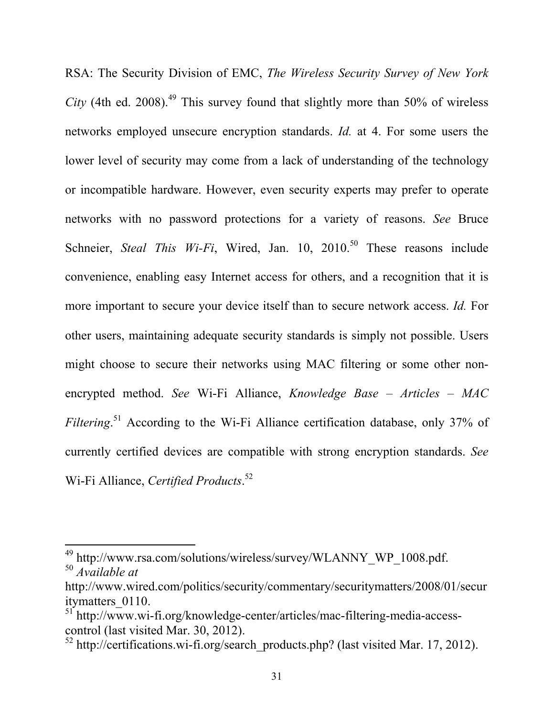RSA: The Security Division of EMC, *The Wireless Security Survey of New York City* (4th ed. 2008).<sup>49</sup> This survey found that slightly more than 50% of wireless networks employed unsecure encryption standards. *Id.* at 4. For some users the lower level of security may come from a lack of understanding of the technology or incompatible hardware. However, even security experts may prefer to operate networks with no password protections for a variety of reasons. *See* Bruce Schneier, *Steal This Wi-Fi*, Wired, Jan. 10, 2010.<sup>50</sup> These reasons include convenience, enabling easy Internet access for others, and a recognition that it is more important to secure your device itself than to secure network access. *Id.* For other users, maintaining adequate security standards is simply not possible. Users might choose to secure their networks using MAC filtering or some other nonencrypted method. *See* Wi-Fi Alliance, *Knowledge Base – Articles – MAC Filtering*. 51 According to the Wi-Fi Alliance certification database, only 37% of currently certified devices are compatible with strong encryption standards. *See* Wi-Fi Alliance, *Certified Products*. 52

<sup>&</sup>lt;sup>49</sup> http://www.rsa.com/solutions/wireless/survey/WLANNY\_WP\_1008.pdf. <sup>50</sup> *Available at* 

http://www.wired.com/politics/security/commentary/securitymatters/2008/01/secur itymatters\_0110.

<sup>&</sup>lt;sup>51</sup> http://www.wi-fi.org/knowledge-center/articles/mac-filtering-media-accesscontrol (last visited Mar. 30, 2012).

 $52$  http://certifications.wi-fi.org/search\_products.php? (last visited Mar. 17, 2012).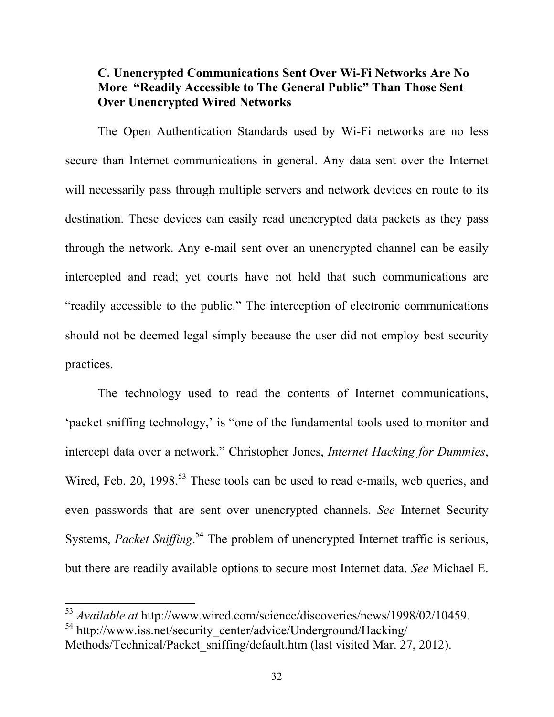### **C. Unencrypted Communications Sent Over Wi-Fi Networks Are No More "Readily Accessible to The General Public" Than Those Sent Over Unencrypted Wired Networks**

The Open Authentication Standards used by Wi-Fi networks are no less secure than Internet communications in general. Any data sent over the Internet will necessarily pass through multiple servers and network devices en route to its destination. These devices can easily read unencrypted data packets as they pass through the network. Any e-mail sent over an unencrypted channel can be easily intercepted and read; yet courts have not held that such communications are "readily accessible to the public." The interception of electronic communications should not be deemed legal simply because the user did not employ best security practices.

The technology used to read the contents of Internet communications, 'packet sniffing technology,' is "one of the fundamental tools used to monitor and intercept data over a network." Christopher Jones, *Internet Hacking for Dummies*, Wired, Feb. 20, 1998.<sup>53</sup> These tools can be used to read e-mails, web queries, and even passwords that are sent over unencrypted channels. *See* Internet Security Systems, *Packet Sniffing*.<sup>54</sup> The problem of unencrypted Internet traffic is serious, but there are readily available options to secure most Internet data. *See* Michael E.

<sup>&</sup>lt;sup>53</sup> *Available at http://www.wired.com/science/discoveries/news/1998/02/10459.* <sup>54</sup> http://www.iss.net/security\_center/advice/Underground/Hacking/

Methods/Technical/Packet\_sniffing/default.htm (last visited Mar. 27, 2012).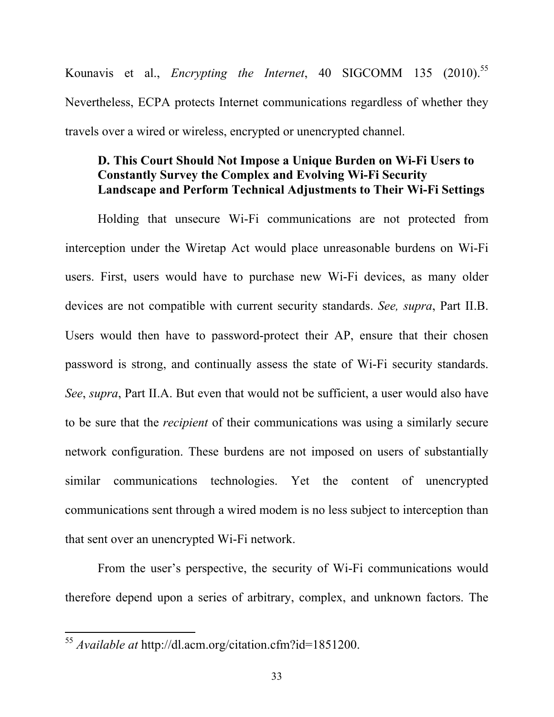Kounavis et al., *Encrypting the Internet*, 40 SIGCOMM 135 (2010). 55 Nevertheless, ECPA protects Internet communications regardless of whether they travels over a wired or wireless, encrypted or unencrypted channel.

### **D. This Court Should Not Impose a Unique Burden on Wi-Fi Users to Constantly Survey the Complex and Evolving Wi-Fi Security Landscape and Perform Technical Adjustments to Their Wi-Fi Settings**

Holding that unsecure Wi-Fi communications are not protected from interception under the Wiretap Act would place unreasonable burdens on Wi-Fi users. First, users would have to purchase new Wi-Fi devices, as many older devices are not compatible with current security standards. *See, supra*, Part II.B. Users would then have to password-protect their AP, ensure that their chosen password is strong, and continually assess the state of Wi-Fi security standards. *See*, *supra*, Part II.A. But even that would not be sufficient, a user would also have to be sure that the *recipient* of their communications was using a similarly secure network configuration. These burdens are not imposed on users of substantially similar communications technologies. Yet the content of unencrypted communications sent through a wired modem is no less subject to interception than that sent over an unencrypted Wi-Fi network.

From the user's perspective, the security of Wi-Fi communications would therefore depend upon a series of arbitrary, complex, and unknown factors. The

<sup>&</sup>lt;sup>55</sup> Available at http://dl.acm.org/citation.cfm?id=1851200.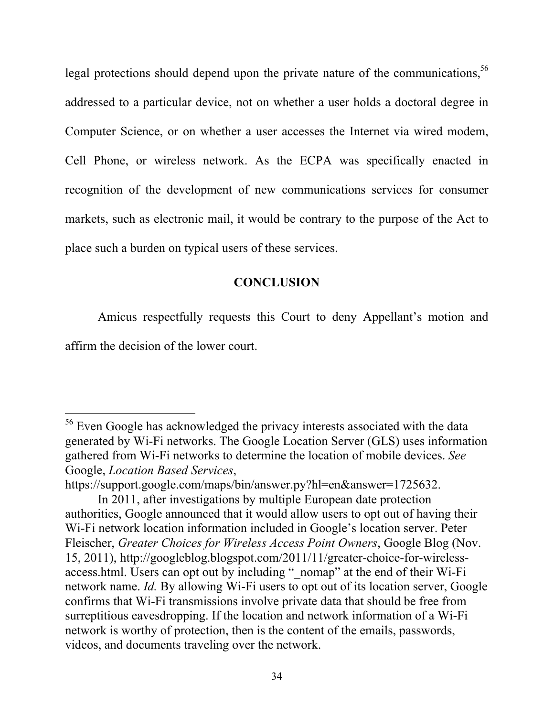legal protections should depend upon the private nature of the communications,<sup>56</sup> addressed to a particular device, not on whether a user holds a doctoral degree in Computer Science, or on whether a user accesses the Internet via wired modem, Cell Phone, or wireless network. As the ECPA was specifically enacted in recognition of the development of new communications services for consumer markets, such as electronic mail, it would be contrary to the purpose of the Act to place such a burden on typical users of these services.

### **CONCLUSION**

Amicus respectfully requests this Court to deny Appellant's motion and

affirm the decision of the lower court.

<sup>&</sup>lt;sup>56</sup> Even Google has acknowledged the privacy interests associated with the data generated by Wi-Fi networks. The Google Location Server (GLS) uses information gathered from Wi-Fi networks to determine the location of mobile devices. *See* Google, *Location Based Services*,

https://support.google.com/maps/bin/answer.py?hl=en&answer=1725632.

In 2011, after investigations by multiple European date protection authorities, Google announced that it would allow users to opt out of having their Wi-Fi network location information included in Google's location server. Peter Fleischer, *Greater Choices for Wireless Access Point Owners*, Google Blog (Nov. 15, 2011), http://googleblog.blogspot.com/2011/11/greater-choice-for-wirelessaccess.html. Users can opt out by including " nomap" at the end of their Wi-Fi network name. *Id.* By allowing Wi-Fi users to opt out of its location server, Google confirms that Wi-Fi transmissions involve private data that should be free from surreptitious eavesdropping. If the location and network information of a Wi-Fi network is worthy of protection, then is the content of the emails, passwords, videos, and documents traveling over the network.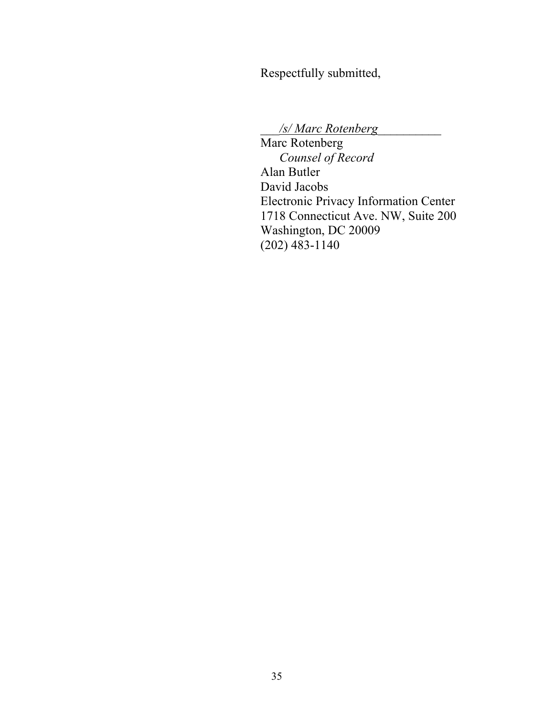Respectfully submitted,

\_\_\_*/s/ Marc Rotenberg*\_\_\_\_\_\_\_\_\_\_

Marc Rotenberg *Counsel of Record* Alan Butler David Jacobs Electronic Privacy Information Center 1718 Connecticut Ave. NW, Suite 200 Washington, DC 20009 (202) 483-1140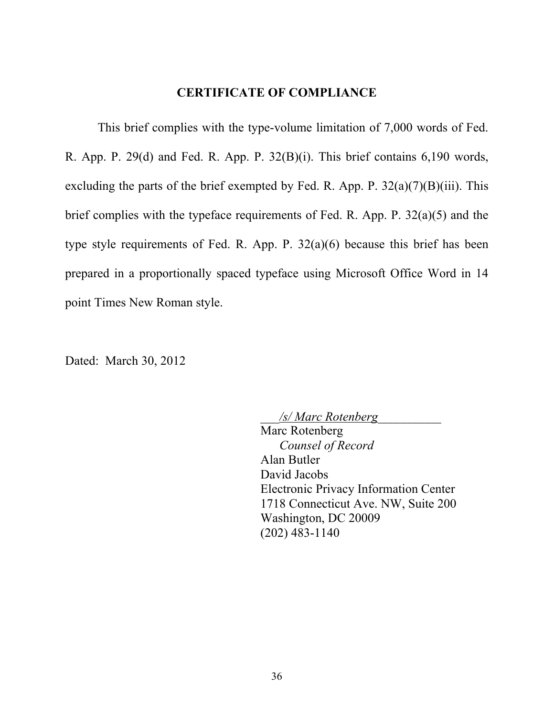#### **CERTIFICATE OF COMPLIANCE**

This brief complies with the type-volume limitation of 7,000 words of Fed. R. App. P. 29(d) and Fed. R. App. P. 32(B)(i). This brief contains 6,190 words, excluding the parts of the brief exempted by Fed. R. App. P.  $32(a)(7)(B)(iii)$ . This brief complies with the typeface requirements of Fed. R. App. P. 32(a)(5) and the type style requirements of Fed. R. App. P. 32(a)(6) because this brief has been prepared in a proportionally spaced typeface using Microsoft Office Word in 14 point Times New Roman style.

Dated: March 30, 2012

\_\_\_*/s/ Marc Rotenberg*\_\_\_\_\_\_\_\_\_\_ Marc Rotenberg *Counsel of Record* Alan Butler David Jacobs Electronic Privacy Information Center 1718 Connecticut Ave. NW, Suite 200 Washington, DC 20009 (202) 483-1140